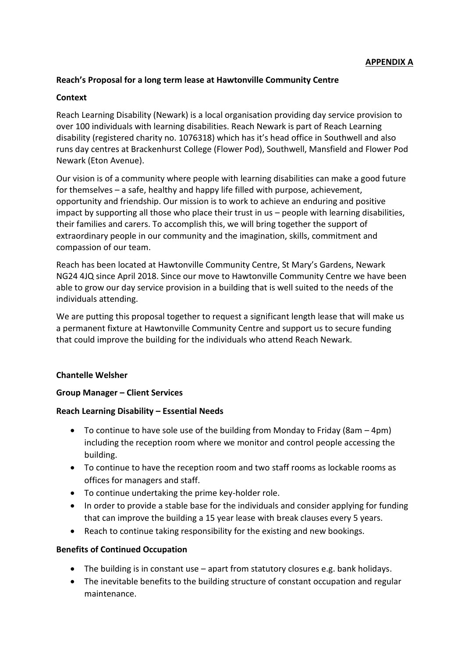### **Reach's Proposal for a long term lease at Hawtonville Community Centre**

### **Context**

Reach Learning Disability (Newark) is a local organisation providing day service provision to over 100 individuals with learning disabilities. Reach Newark is part of Reach Learning disability (registered charity no. 1076318) which has it's head office in Southwell and also runs day centres at Brackenhurst College (Flower Pod), Southwell, Mansfield and Flower Pod Newark (Eton Avenue).

Our vision is of a community where people with learning disabilities can make a good future for themselves – a safe, healthy and happy life filled with purpose, achievement, opportunity and friendship. Our mission is to work to achieve an enduring and positive impact by supporting all those who place their trust in us – people with learning disabilities, their families and carers. To accomplish this, we will bring together the support of extraordinary people in our community and the imagination, skills, commitment and compassion of our team.

Reach has been located at Hawtonville Community Centre, St Mary's Gardens, Newark NG24 4JQ since April 2018. Since our move to Hawtonville Community Centre we have been able to grow our day service provision in a building that is well suited to the needs of the individuals attending.

We are putting this proposal together to request a significant length lease that will make us a permanent fixture at Hawtonville Community Centre and support us to secure funding that could improve the building for the individuals who attend Reach Newark.

#### **Chantelle Welsher**

#### **Group Manager – Client Services**

#### **Reach Learning Disability – Essential Needs**

- To continue to have sole use of the building from Monday to Friday (8am 4pm) including the reception room where we monitor and control people accessing the building.
- To continue to have the reception room and two staff rooms as lockable rooms as offices for managers and staff.
- To continue undertaking the prime key-holder role.
- In order to provide a stable base for the individuals and consider applying for funding that can improve the building a 15 year lease with break clauses every 5 years.
- Reach to continue taking responsibility for the existing and new bookings.

#### **Benefits of Continued Occupation**

- The building is in constant use apart from statutory closures e.g. bank holidays.
- The inevitable benefits to the building structure of constant occupation and regular maintenance.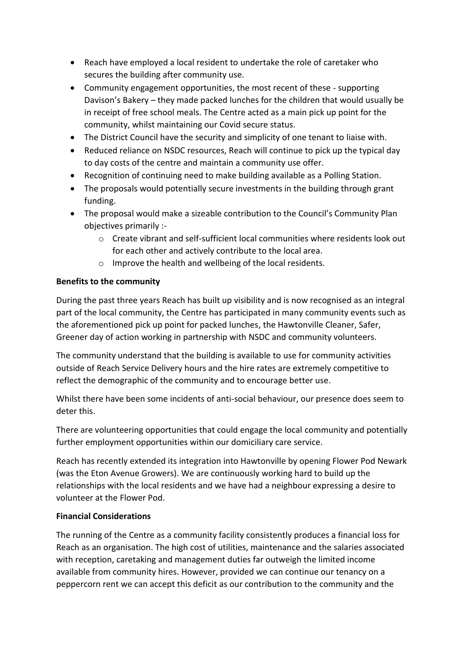- Reach have employed a local resident to undertake the role of caretaker who secures the building after community use.
- Community engagement opportunities, the most recent of these supporting Davison's Bakery – they made packed lunches for the children that would usually be in receipt of free school meals. The Centre acted as a main pick up point for the community, whilst maintaining our Covid secure status.
- The District Council have the security and simplicity of one tenant to liaise with.
- Reduced reliance on NSDC resources, Reach will continue to pick up the typical day to day costs of the centre and maintain a community use offer.
- Recognition of continuing need to make building available as a Polling Station.
- The proposals would potentially secure investments in the building through grant funding.
- The proposal would make a sizeable contribution to the Council's Community Plan objectives primarily :
	- o Create vibrant and self-sufficient local communities where residents look out for each other and actively contribute to the local area.
	- o Improve the health and wellbeing of the local residents.

# **Benefits to the community**

During the past three years Reach has built up visibility and is now recognised as an integral part of the local community, the Centre has participated in many community events such as the aforementioned pick up point for packed lunches, the Hawtonville Cleaner, Safer, Greener day of action working in partnership with NSDC and community volunteers.

The community understand that the building is available to use for community activities outside of Reach Service Delivery hours and the hire rates are extremely competitive to reflect the demographic of the community and to encourage better use.

Whilst there have been some incidents of anti-social behaviour, our presence does seem to deter this.

There are volunteering opportunities that could engage the local community and potentially further employment opportunities within our domiciliary care service.

Reach has recently extended its integration into Hawtonville by opening Flower Pod Newark (was the Eton Avenue Growers). We are continuously working hard to build up the relationships with the local residents and we have had a neighbour expressing a desire to volunteer at the Flower Pod.

# **Financial Considerations**

The running of the Centre as a community facility consistently produces a financial loss for Reach as an organisation. The high cost of utilities, maintenance and the salaries associated with reception, caretaking and management duties far outweigh the limited income available from community hires. However, provided we can continue our tenancy on a peppercorn rent we can accept this deficit as our contribution to the community and the